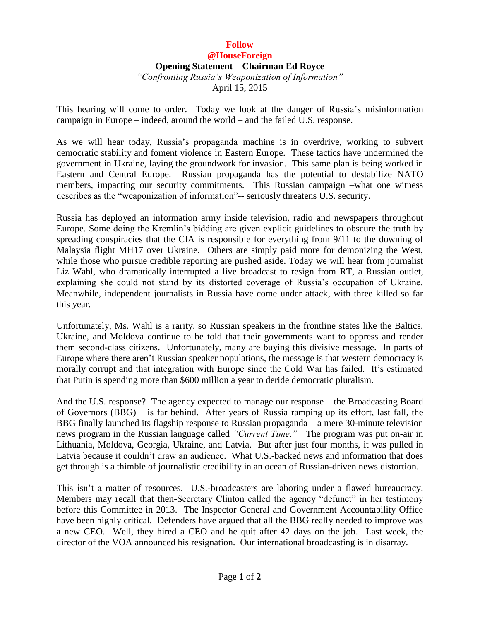## **Follow @HouseForeign Opening Statement – Chairman Ed Royce** *"Confronting Russia's Weaponization of Information"* April 15, 2015

This hearing will come to order. Today we look at the danger of Russia's misinformation campaign in Europe – indeed, around the world – and the failed U.S. response.

As we will hear today, Russia's propaganda machine is in overdrive, working to subvert democratic stability and foment violence in Eastern Europe. These tactics have undermined the government in Ukraine, laying the groundwork for invasion. This same plan is being worked in Eastern and Central Europe. Russian propaganda has the potential to destabilize NATO members, impacting our security commitments. This Russian campaign –what one witness describes as the "weaponization of information"-- seriously threatens U.S. security.

Russia has deployed an information army inside television, radio and newspapers throughout Europe. Some doing the Kremlin's bidding are given explicit guidelines to obscure the truth by spreading conspiracies that the CIA is responsible for everything from 9/11 to the downing of Malaysia flight MH17 over Ukraine. Others are simply paid more for demonizing the West, while those who pursue credible reporting are pushed aside. Today we will hear from journalist Liz Wahl, who dramatically interrupted a live broadcast to resign from RT, a Russian outlet, explaining she could not stand by its distorted coverage of Russia's occupation of Ukraine. Meanwhile, independent journalists in Russia have come under attack, with three killed so far this year.

Unfortunately, Ms. Wahl is a rarity, so Russian speakers in the frontline states like the Baltics, Ukraine, and Moldova continue to be told that their governments want to oppress and render them second-class citizens. Unfortunately, many are buying this divisive message. In parts of Europe where there aren't Russian speaker populations, the message is that western democracy is morally corrupt and that integration with Europe since the Cold War has failed. It's estimated that Putin is spending more than \$600 million a year to deride democratic pluralism.

And the U.S. response? The agency expected to manage our response – the Broadcasting Board of Governors (BBG) – is far behind. After years of Russia ramping up its effort, last fall, the BBG finally launched its flagship response to Russian propaganda – a mere 30-minute television news program in the Russian language called *"Current Time."* The program was put on-air in Lithuania, Moldova, Georgia, Ukraine, and Latvia. But after just four months, it was pulled in Latvia because it couldn't draw an audience. What U.S.-backed news and information that does get through is a thimble of journalistic credibility in an ocean of Russian-driven news distortion.

This isn't a matter of resources. U.S.-broadcasters are laboring under a flawed bureaucracy. Members may recall that then-Secretary Clinton called the agency "defunct" in her testimony before this Committee in 2013. The Inspector General and Government Accountability Office have been highly critical. Defenders have argued that all the BBG really needed to improve was a new CEO. Well, they hired a CEO and he quit after 42 days on the job. Last week, the director of the VOA announced his resignation. Our international broadcasting is in disarray.